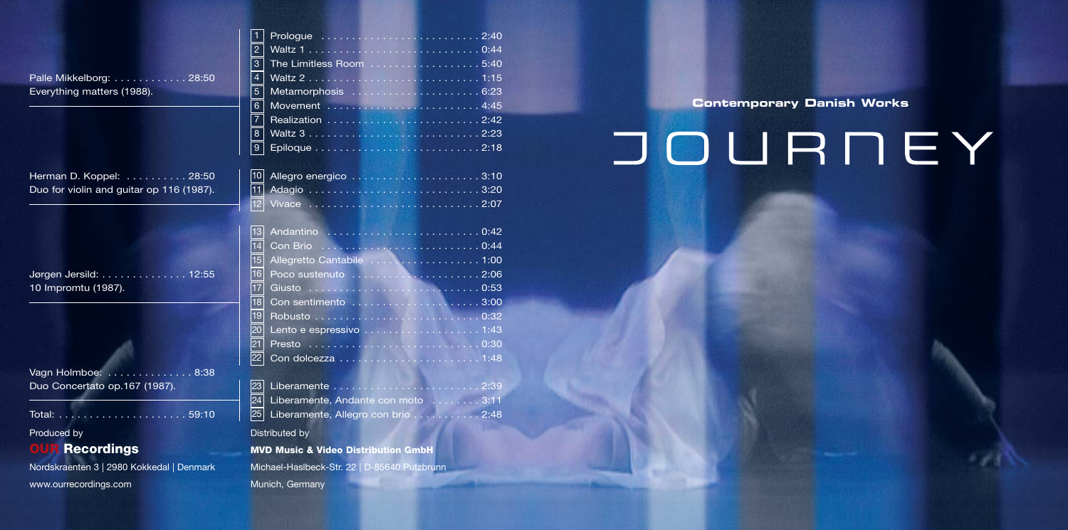| Palle Mikkelborg: 28:50    |  |  |  |  |  |  |  |
|----------------------------|--|--|--|--|--|--|--|
| Everything matters (1988). |  |  |  |  |  |  |  |

Herman D. Koppel: . . . . . . . . . 28:50 Duo for violin and guitar op 116 (1987).

| Jørgen Jersild: 12:55 |  |  |  |  |
|-----------------------|--|--|--|--|
| 10 Impromtu (1987).   |  |  |  |  |

| Vagn Holmboe: 8:38            |  |  |  |  |  |  |
|-------------------------------|--|--|--|--|--|--|
| Duo Concertato op.167 (1987). |  |  |  |  |  |  |

Total: . . . . . . . . . . . . . . . . . . . . . 59:10

Produced by

# **OUR Recordings**

Nordskraenten 3 | 2980 Kokkedal | Denmark

www.ourrecordings.com

| 10 Allegro energico 3:10 |  |  |  |  |  |  |  |  |  |  |  |
|--------------------------|--|--|--|--|--|--|--|--|--|--|--|
|                          |  |  |  |  |  |  |  |  |  |  |  |
| 12 Vivace 2:07           |  |  |  |  |  |  |  |  |  |  |  |

| 13              |                                    |
|-----------------|------------------------------------|
| 14              |                                    |
| 15              | Allegretto Cantabile 1:00          |
| 16              |                                    |
| 17              |                                    |
| 18 <sup>1</sup> |                                    |
| 19 <sub>l</sub> |                                    |
| 20              |                                    |
| 21              |                                    |
| 22              |                                    |
|                 |                                    |
| 23              |                                    |
| 24              | Liberamente, Andante con moto 3:11 |
| 25              | Liberamente, Allegro con brio 2:48 |
|                 |                                    |

Distributed by

**MVD Music & Video Distribution GmbH** Michael-Haslbeck-Str. 22 | D-85640 Putzbrunn Munich, Germany

**Contemporary Danish Works** 

# JOURNEY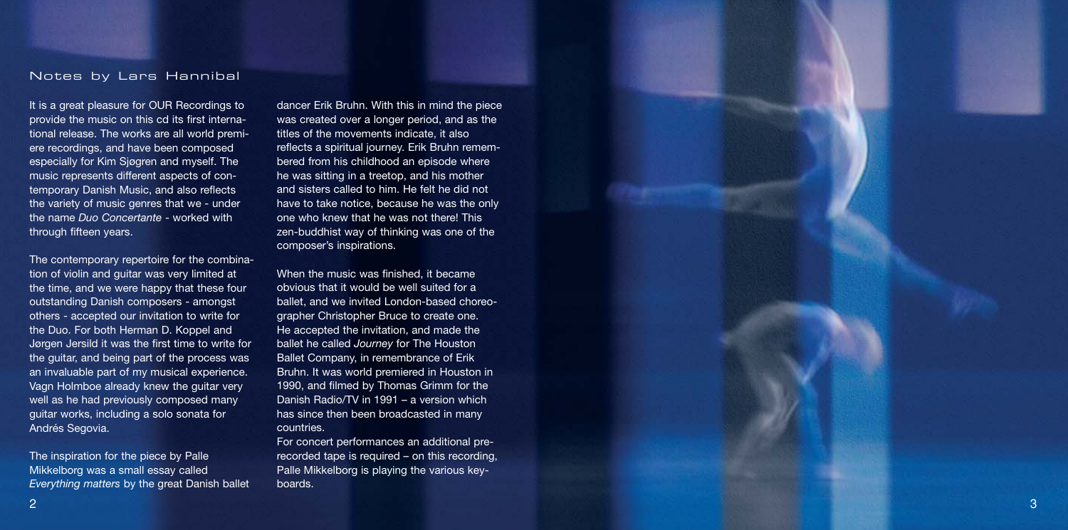#### Notes by Lars Hannibal

It is a great pleasure for OUR Recordings to provide the music on this cd its first international release. The works are all world premiere recordings, and have been composed especially for Kim Sjøgren and myself. The music represents different aspects of contemporary Danish Music, and also reflects the variety of music genres that we - under the name *Duo Concertante* - worked with through fifteen years.

The contemporary repertoire for the combination of violin and guitar was very limited at the time, and we were happy that these four outstanding Danish composers - amongst others - accepted our invitation to write for the Duo. For both Herman D. Koppel and Jørgen Jersild it was the first time to write for the guitar, and being part of the process was an invaluable part of my musical experience. Vagn Holmboe already knew the guitar very well as he had previously composed many guitar works, including a solo sonata for Andrés Segovia.

The inspiration for the piece by Palle Mikkelborg was a small essay called *Everything matters* by the great Danish ballet

dancer Erik Bruhn. With this in mind the piece was created over a longer period, and as the titles of the movements indicate, it also reflects a spiritual journey. Erik Bruhn remembered from his childhood an episode where he was sitting in a treetop, and his mother and sisters called to him. He felt he did not have to take notice, because he was the only one who knew that he was not there! This zen-buddhist way of thinking was one of the composer's inspirations.

When the music was finished, it became obvious that it would be well suited for a ballet, and we invited London-based choreographer Christopher Bruce to create one. He accepted the invitation, and made the ballet he called *Journey* for The Houston Ballet Company, in remembrance of Erik Bruhn. It was world premiered in Houston in 1990, and filmed by Thomas Grimm for the Danish Radio/TV in 1991 – a version which has since then been broadcasted in many countries.

For concert performances an additional prerecorded tape is required – on this recording, Palle Mikkelborg is playing the various keyboards.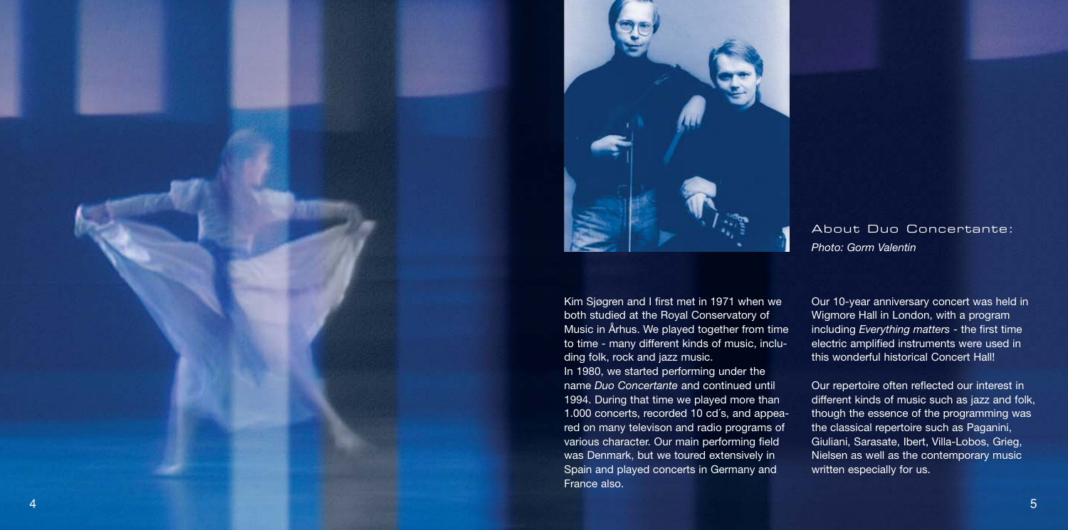



About Duo Concertante: *Photo: Gorm Valentin*

Kim Sjøgren and I first met in 1971 when we both studied at the Royal Conservatory of Music in Århus. We played together from time to time - many different kinds of music, including folk, rock and jazz music. In 1980, we started performing under the name *Duo Concertante* and continued until 1994. During that time we played more than 1.000 concerts, recorded 10 cd´s, and appeared on many televison and radio programs of various character. Our main performing field was Denmark, but we toured extensively in Spain and played concerts in Germany and France also.

Our 10-year anniversary concert was held in Wigmore Hall in London, with a program including *Everything matters* - the first time electric amplified instruments were used in this wonderful historical Concert Hall!

Our repertoire often reflected our interest in different kinds of music such as jazz and folk, though the essence of the programming was the classical repertoire such as Paganini, Giuliani, Sarasate, Ibert, Villa-Lobos, Grieg, Nielsen as well as the contemporary music written especially for us.

5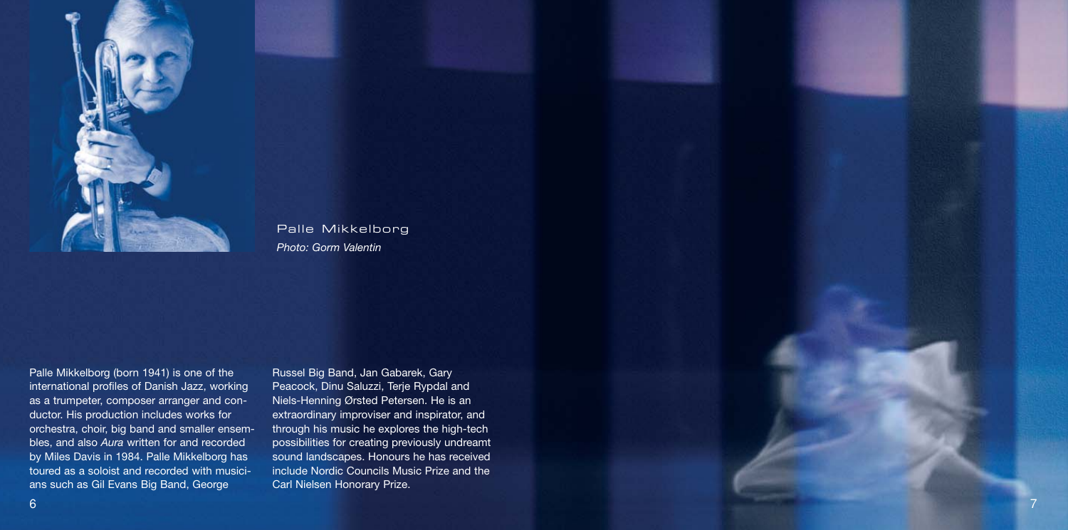

## Palle Mikkelborg *Photo: Gorm Valentin*

Palle Mikkelborg (born 1941) is one of the international profiles of Danish Jazz, working as a trumpeter, composer arranger and conductor. His production includes works for orchestra, choir, big band and smaller ensembles, and also *Aura* written for and recorded by Miles Davis in 1984. Palle Mikkelborg has toured as a soloist and recorded with musicians such as Gil Evans Big Band, George

Russel Big Band, Jan Gabarek, Gary Peacock, Dinu Saluzzi, Terje Rypdal and Niels-Henning Ørsted Petersen. He is an extraordinary improviser and inspirator, and through his music he explores the high-tech possibilities for creating previously undreamt sound landscapes. Honours he has received include Nordic Councils Music Prize and the Carl Nielsen Honorary Prize.

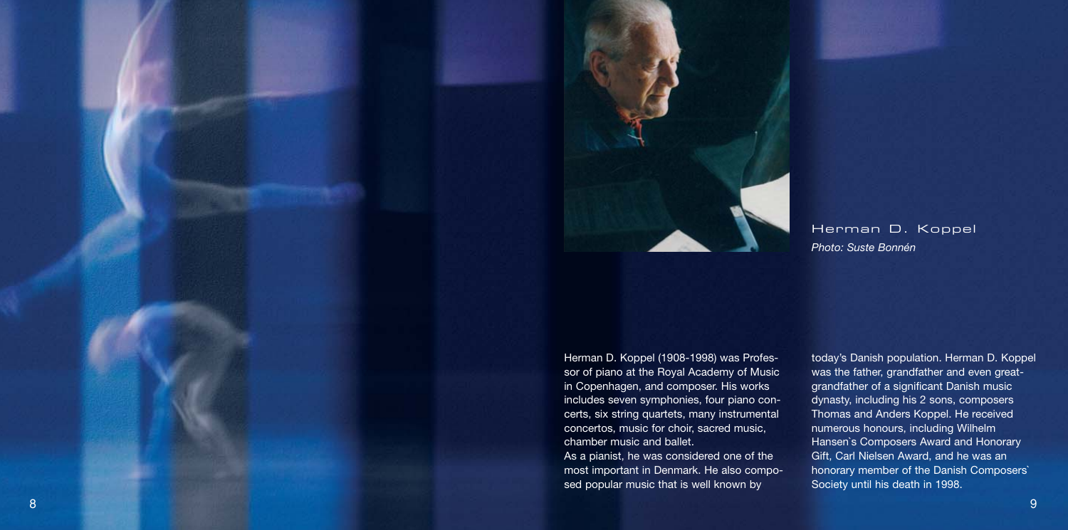

Herman D. Koppel *Photo: Suste Bonnén*

Herman D. Koppel (1908-1998) was Professor of piano at the Royal Academy of Music in Copenhagen, and composer. His works includes seven symphonies, four piano concerts, six string quartets, many instrumental concertos, music for choir, sacred music, chamber music and ballet.

As a pianist, he was considered one of the most important in Denmark. He also composed popular music that is well known by

today's Danish population. Herman D. Koppel was the father, grandfather and even greatgrandfather of a significant Danish music dynasty, including his 2 sons, composers Thomas and Anders Koppel. He received numerous honours, including Wilhelm Hansen`s Composers Award and Honorary Gift, Carl Nielsen Award, and he was an honorary member of the Danish Composers` Society until his death in 1998.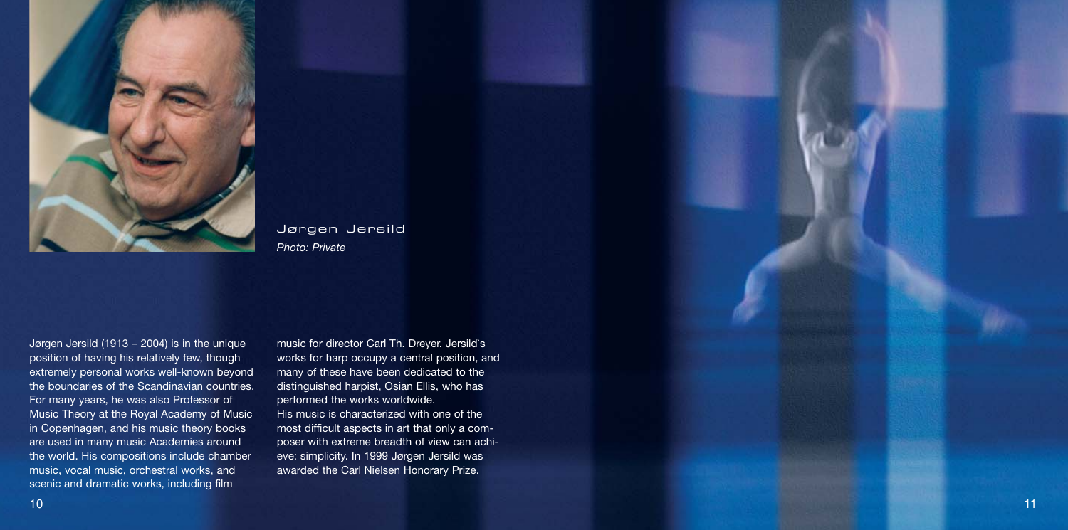

Jørgen Jersild *Photo: Private*

Jørgen Jersild (1913 – 2004) is in the unique position of having his relatively few, though extremely personal works well-known beyond the boundaries of the Scandinavian countries. For many years, he was also Professor of Music Theory at the Royal Academy of Music in Copenhagen, and his music theory books are used in many music Academies around the world. His compositions include chamber music, vocal music, orchestral works, and scenic and dramatic works, including film

music for director Carl Th. Dreyer. Jersild`s works for harp occupy a central position, and many of these have been dedicated to the distinguished harpist, Osian Ellis, who has performed the works worldwide. His music is characterized with one of the most difficult aspects in art that only a composer with extreme breadth of view can achieve: simplicity. In 1999 Jørgen Jersild was awarded the Carl Nielsen Honorary Prize.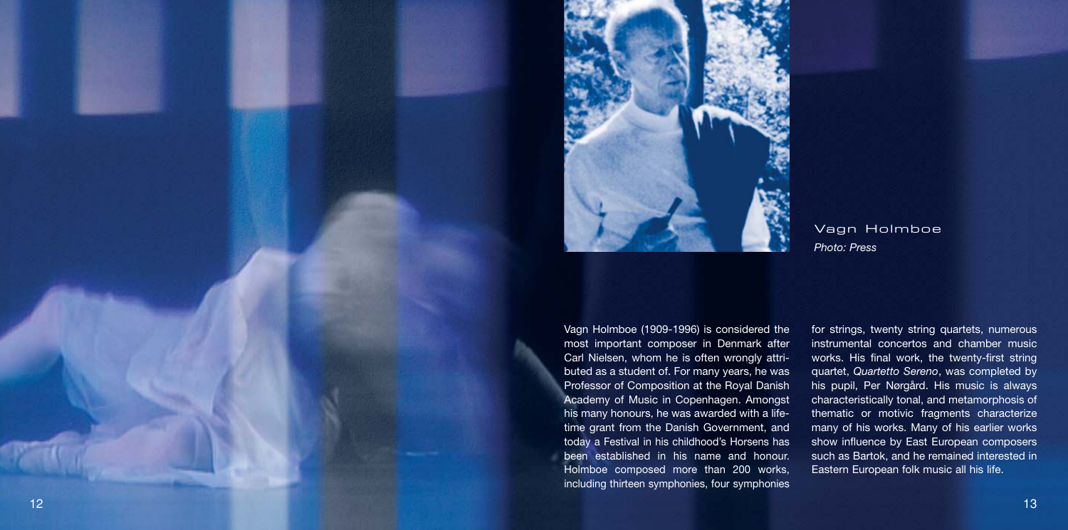

Vagn Holmboe *Photo: Press*

Vagn Holmboe (1909-1996) is considered the most important composer in Denmark after Carl Nielsen, whom he is often wrongly attributed as a student of. For many years, he was Professor of Composition at the Royal Danish Academy of Music in Copenhagen. Amongst his many honours, he was awarded with a lifetime grant from the Danish Government, and today a Festival in his childhood's Horsens has been established in his name and honour. Holmboe composed more than 200 works, including thirteen symphonies, four symphonies

for strings, twenty string quartets, numerous instrumental concertos and chamber music works. His final work, the twenty-first string quartet, *Quartetto Sereno*, was completed by his pupil, Per Nørgård. His music is always characteristically tonal, and metamorphosis of thematic or motivic fragments characterize many of his works. Many of his earlier works show influence by East European composers such as Bartok, and he remained interested in Eastern European folk music all his life.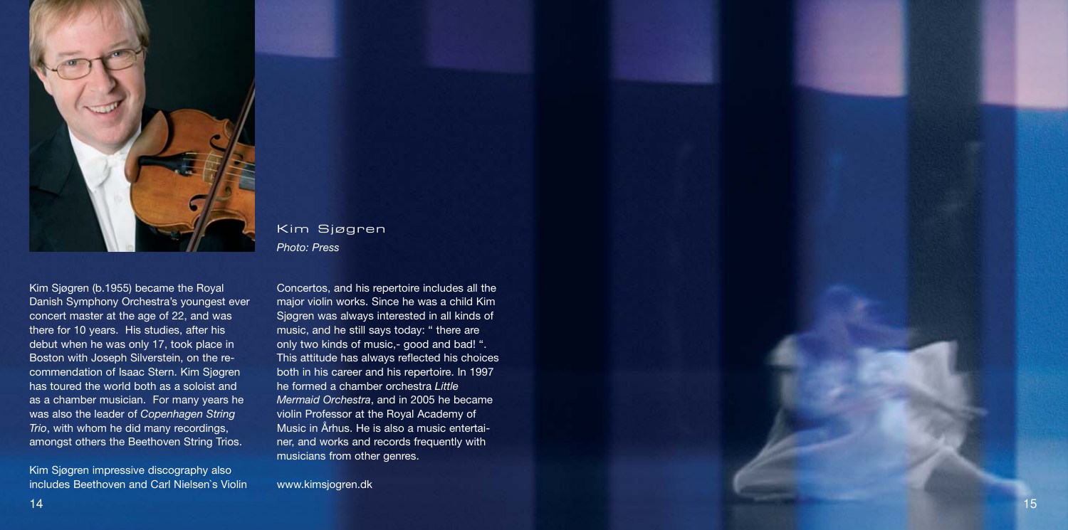

Kim Sjøgren (b.1955) became the Royal Danish Symphony Orchestra's youngest ever concert master at the age of 22, and was there for 10 years. His studies, after his debut when he was only 17, took place in Boston with Joseph Silverstein, on the recommendation of Isaac Stern. Kim Sjøgren has toured the world both as a soloist and as a chamber musician. For many years he was also the leader of *Copenhagen String Trio*, with whom he did many recordings, amongst others the Beethoven String Trios.

Kim Sjøgren impressive discography also includes Beethoven and Carl Nielsen`s Violin Kim Sjøgren *Photo: Press*

Concertos, and his repertoire includes all the major violin works. Since he was a child Kim Sjøgren was always interested in all kinds of music, and he still says today: " there are only two kinds of music,- good and bad! ". This attitude has always reflected his choices both in his career and his repertoire. In 1997 he formed a chamber orchestra *Little Mermaid Orchestra*, and in 2005 he became violin Professor at the Royal Academy of Music in Århus. He is also a music entertainer, and works and records frequently with musicians from other genres.

www.kimsjogren.dk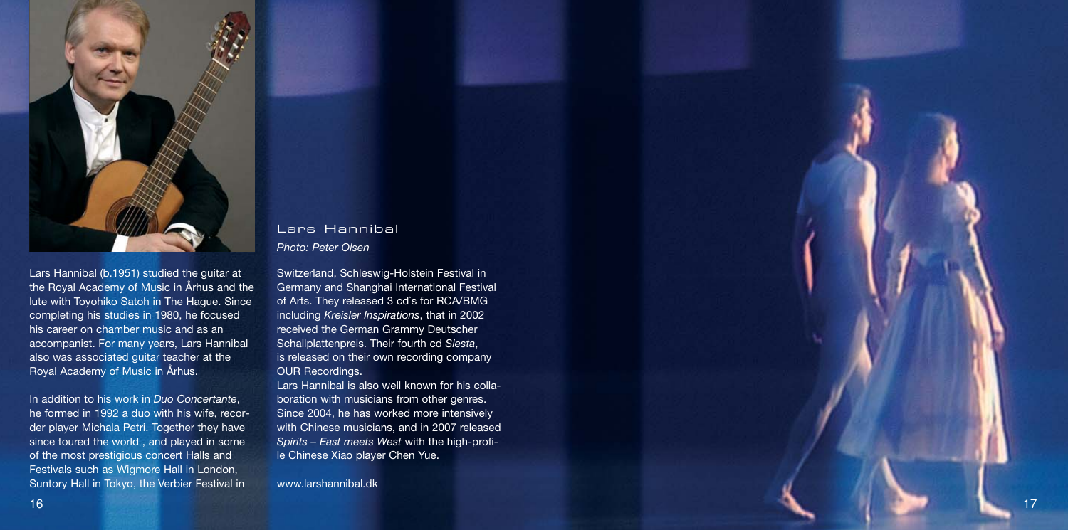

Lars Hannibal (b.1951) studied the guitar at the Royal Academy of Music in Århus and the lute with Toyohiko Satoh in The Hague. Since completing his studies in 1980, he focused his career on chamber music and as an accompanist. For many years, Lars Hannibal also was associated guitar teacher at the Royal Academy of Music in Århus.

In addition to his work in *Duo Concertante* , he formed in 1992 a duo with his wife, recorder player Michala Petri. Together they have since toured the world , and played in some of the most prestigious concert Halls and Festivals such as Wigmore Hall in London, Suntory Hall in Tokyo, the Verbier Festival in

### Lars Hannibal *Photo: Peter Olsen*

Switzerland, Schleswig-Holstein Festival in Germany and Shanghai International Festival of Arts. They released 3 cd`s for RCA/BMG including *Kreisler Inspirations*, that in 2002 received the German Grammy Deutscher Schallplattenpreis. Their fourth cd *Siesta*, is released on their own recording company OUR Recordings.

Lars Hannibal is also well known for his collaboration with musicians from other genres. Since 2004, he has worked more intensively with Chinese musicians, and in 2007 released *Spirits – East meets West* with the high-profile Chinese Xiao player Chen Yue.

www.larshannibal.dk